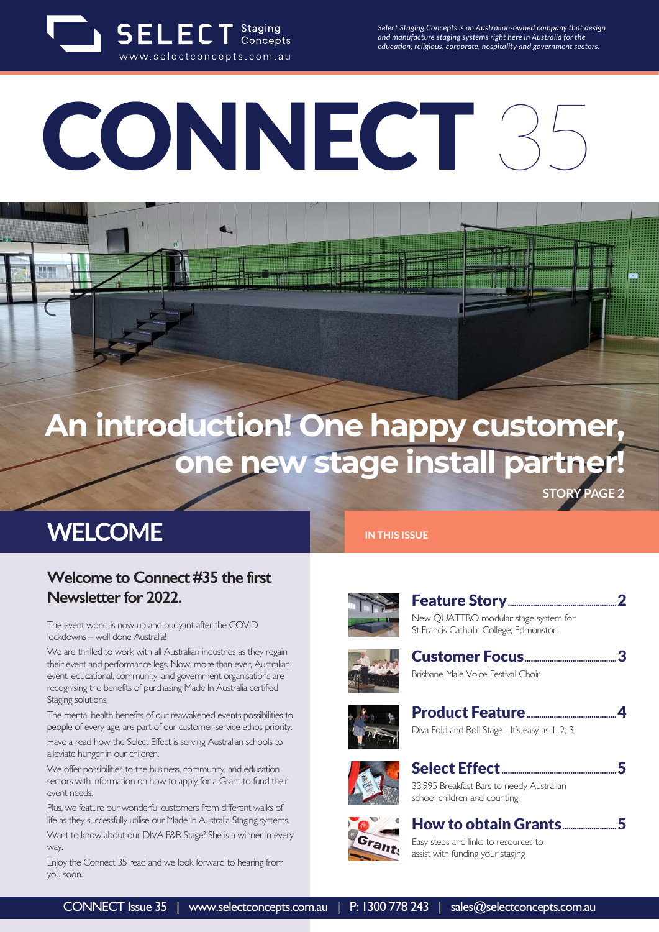

*Select Staging Concepts is an Australian-owned company that design and manufacture staging systems right here in Australia for the education, religious, corporate, hospitality and government sectors.*

# CONNECT 3

## **An introduction! One happy customer, one new stage install partner!**

**STORY PAGE 2**

#### **WELCOME**

#### **Welcome to Connect #35 the first Newsletter for 2022.**

The event world is now up and buoyant after the COVID lockdowns – well done Australia!

We are thrilled to work with all Australian industries as they regain their event and performance legs. Now, more than ever, Australian event, educational, community, and government organisations are recognising the benefits of purchasing Made In Australia certified Staging solutions.

The mental health benefits of our reawakened events possibilities to people of every age, are part of our customer service ethos priority. Have a read how the Select Effect is serving Australian schools to alleviate hunger in our children.

We offer possibilities to the business, community, and education sectors with information on how to apply for a Grant to fund their event needs.

Plus, we feature our wonderful customers from different walks of life as they successfully utilise our Made In Australia Staging systems.

Want to know about our DIVA F&R Stage? She is a winner in every way.

Enjoy the Connect 35 read and we look forward to hearing from you soon.

#### **IN THIS ISSUE**



Feature Story....................................................2 New QUATTRO modular stage system for St Francis Catholic College, Edmonston



Customer Focus............................................3 Brisbane Male Voice Festival Choir







Select Effect.......................................................5 33,995 Breakfast Bars to needy Australian school children and counting



How to obtain Grants..........................5 Easy steps and links to resources to assist with funding your staging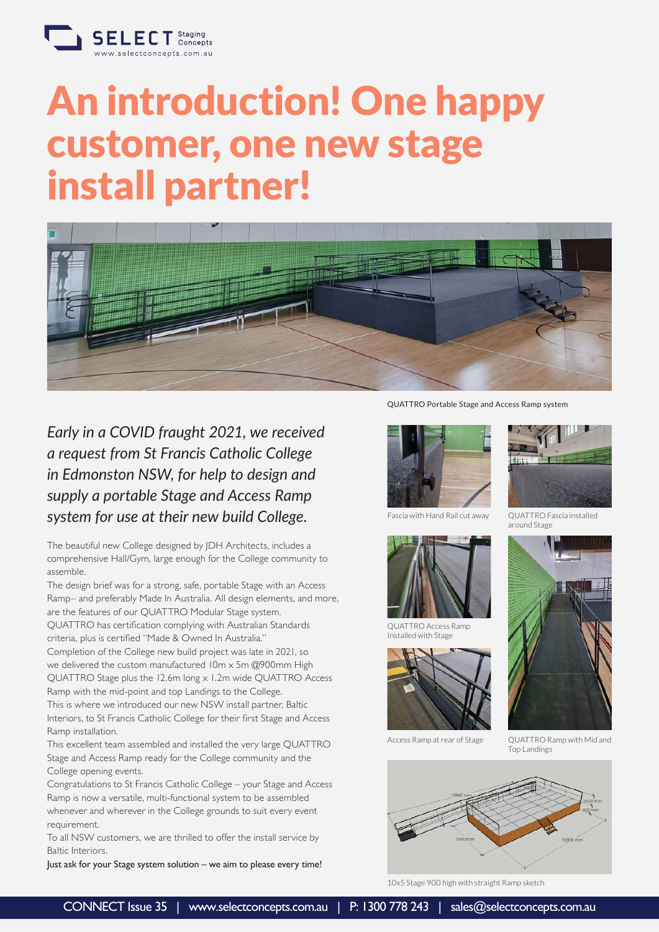

## An introduction! One happy customer, one new stage install partner!



*Early in a COVID fraught 2021, we received a request from St Francis Catholic College in Edmonston NSW, for help to design and supply a portable Stage and Access Ramp system for use at their new build College.*

The beautiful new College designed by JDH Architects, includes a comprehensive Hall/Gym, large enough for the College community to assemble.

The design brief was for a strong, safe, portable Stage with an Access Ramp– and preferably Made In Australia. All design elements, and more, are the features of our QUATTRO Modular Stage system. QUATTRO has certification complying with Australian Standards

criteria, plus is certified "Made & Owned In Australia." Completion of the College new build project was late in 2021, so

we delivered the custom manufactured 10m x 5m @900mm High QUATTRO Stage plus the 12.6m long x 1.2m wide QUATTRO Access Ramp with the mid-point and top Landings to the College. This is where we introduced our new NSW install partner, Baltic Interiors, to St Francis Catholic College for their first Stage and Access

Ramp installation. This excellent team assembled and installed the very large QUATTRO Stage and Access Ramp ready for the College community and the College opening events.

Congratulations to St Francis Catholic College – your Stage and Access Ramp is now a versatile, multi-functional system to be assembled whenever and wherever in the College grounds to suit every event requirement.

To all NSW customers, we are thrilled to offer the install service by Baltic Interiors.

Just ask for your Stage system solution – we aim to please every time!

QUATTRO Portable Stage and Access Ramp system



Fascia with Hand Rail cut away QUATTRO Fascia installed



QUATTRO Access Ramp Installed with Stage





around Stage



Access Ramp at rear of Stage QUATTRO Ramp with Mid and Top Landings



10x5 Stage 900 high with straight Ramp sketch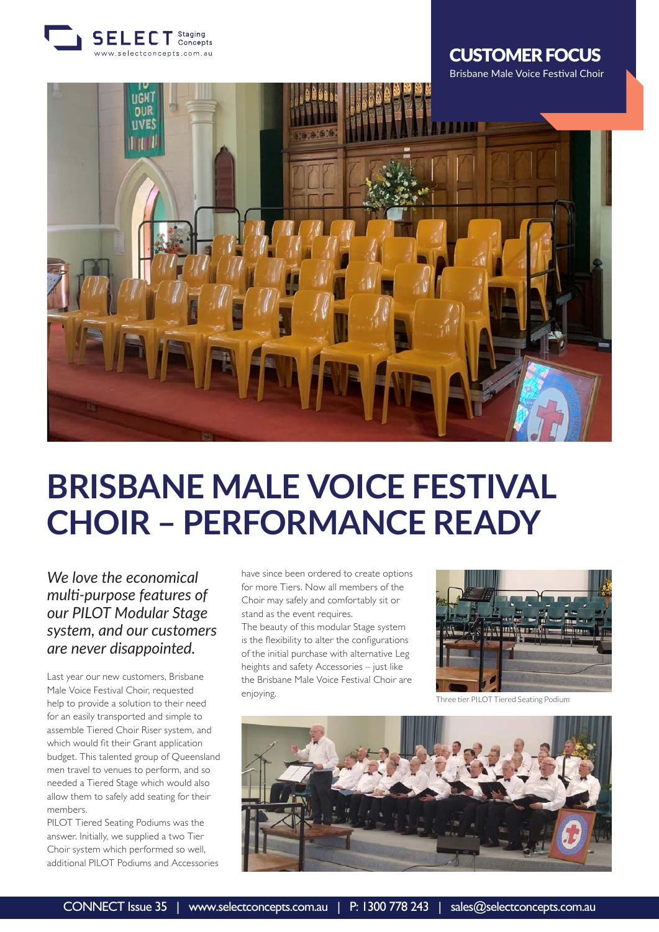

#### CUSTOMER FOCUS



## **BRISBANE MALE VOICE FESTIVAL CHOIR – PERFORMANCE READY**

*We love the economical multi-purpose features of our PILOT Modular Stage system, and our customers are never disappointed.*

Last year our new customers, Brisbane Male Voice Festival Choir, requested help to provide a solution to their need for an easily transported and simple to assemble Tiered Choir Riser system, and which would fit their Grant application budget. This talented group of Queensland men travel to venues to perform, and so needed a Tiered Stage which would also allow them to safely add seating for their members.

PILOT Tiered Seating Podiums was the answer. Initially, we supplied a two Tier Choir system which performed so well, additional PILOT Podiums and Accessories have since been ordered to create options for more Tiers. Now all members of the Choir may safely and comfortably sit or stand as the event requires.

The beauty of this modular Stage system is the flexibility to alter the configurations of the initial purchase with alternative Leg heights and safety Accessories – just like the Brisbane Male Voice Festival Choir are enjoying.



Three tier PILOT Tiered Seating Podium

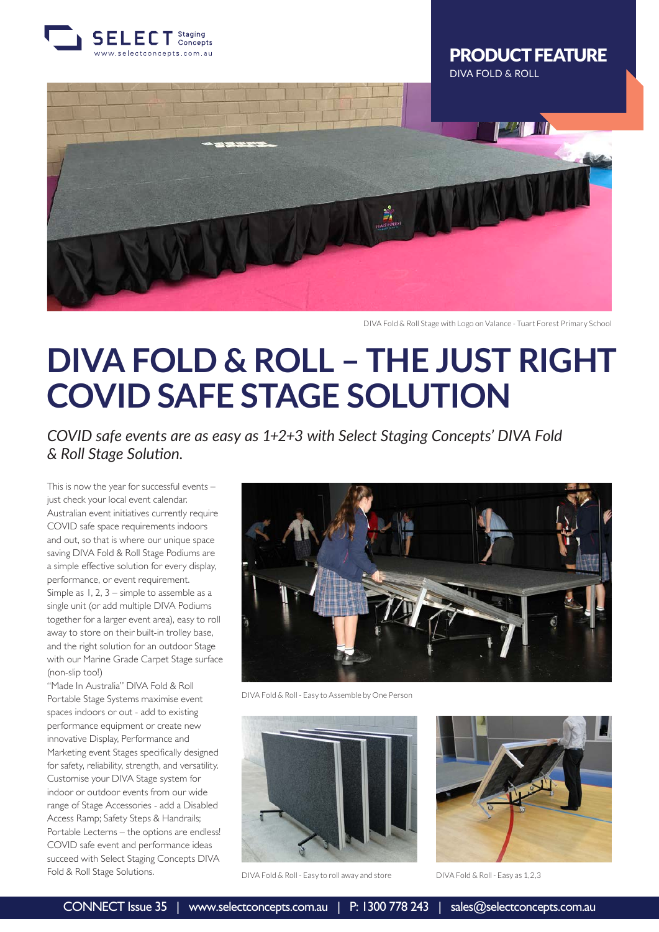

#### PRODUCT FEATURE DIVA FOLD & ROLL



DIVA Fold & Roll Stage with Logo on Valance - Tuart Forest Primary School

### **DIVA FOLD & ROLL – THE JUST RIGHT COVID SAFE STAGE SOLUTION**

*COVID safe events are as easy as 1+2+3 with Select Staging Concepts' DIVA Fold & Roll Stage Solution.*

This is now the year for successful events – just check your local event calendar. Australian event initiatives currently require COVID safe space requirements indoors and out, so that is where our unique space saving DIVA Fold & Roll Stage Podiums are a simple effective solution for every display, performance, or event requirement. Simple as 1, 2, 3 – simple to assemble as a single unit (or add multiple DIVA Podiums together for a larger event area), easy to roll away to store on their built-in trolley base, and the right solution for an outdoor Stage with our Marine Grade Carpet Stage surface (non-slip too!)

"Made In Australia" DIVA Fold & Roll Portable Stage Systems maximise event spaces indoors or out - add to existing performance equipment or create new innovative Display, Performance and Marketing event Stages specifically designed for safety, reliability, strength, and versatility. Customise your DIVA Stage system for indoor or outdoor events from our wide range of Stage Accessories - add a Disabled Access Ramp; Safety Steps & Handrails; Portable Lecterns – the options are endless! COVID safe event and performance ideas succeed with Select Staging Concepts DIVA Fold & Roll Stage Solutions.



DIVA Fold & Roll - Easy to Assemble by One Person



DIVA Fold & Roll - Easy to roll away and store DIVA Fold & Roll - Easy as 1,2,3